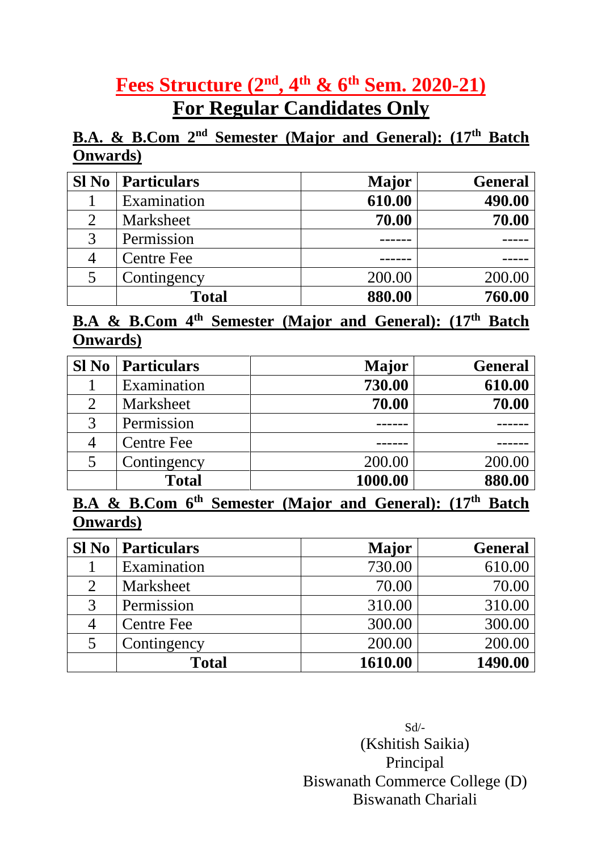# **Fees Structure** (2<sup>nd</sup>, 4<sup>th</sup> & 6<sup>th</sup> Sem. 2020-21) **For Regular Candidates Only**

## **<u>B.A. & B.Com 2<sup>nd</sup> Semester (Major and General): (17<sup>th</sup> Batch**</u> **Onwards)**

| Sl No | Particulars       | <b>Major</b> | <b>General</b> |
|-------|-------------------|--------------|----------------|
|       | Examination       | 610.00       | 490.00         |
| 2     | Marksheet         | 70.00        | 70.00          |
| 3     | Permission        |              |                |
|       | <b>Centre Fee</b> |              |                |
| 5     | Contingency       | 200.00       | 200.00         |
|       | <b>Total</b>      | 880.00       | 760.00         |

#### **B.A & B.Com 4 th Semester (Major and General): (17th Batch Onwards)**

| <b>Sl No</b> | <b>Particulars</b> | <b>Major</b> | <b>General</b> |
|--------------|--------------------|--------------|----------------|
|              | Examination        | 730.00       | 610.00         |
| 2            | Marksheet          | 70.00        | 70.00          |
| 3            | Permission         |              |                |
|              | <b>Centre Fee</b>  |              |                |
| 5            | Contingency        | 200.00       | 200.00         |
|              | <b>Total</b>       | 1000.00      | 880.00         |

**B.A & B.Com 6 th Semester (Major and General): (17th Batch Onwards)**

| $SI$ No | <i><u><b>Particulars</b></u></i> | Major   | <b>General</b> |
|---------|----------------------------------|---------|----------------|
|         | Examination                      | 730.00  | 610.00         |
|         | Marksheet                        | 70.00   | 70.00          |
| 3       | Permission                       | 310.00  | 310.00         |
|         | <b>Centre Fee</b>                | 300.00  | 300.00         |
| 5       | Contingency                      | 200.00  | 200.00         |
|         | <b>Total</b>                     | 1610.00 | 1490.00        |

Sd/- (Kshitish Saikia) Principal Biswanath Commerce College (D) Biswanath Chariali